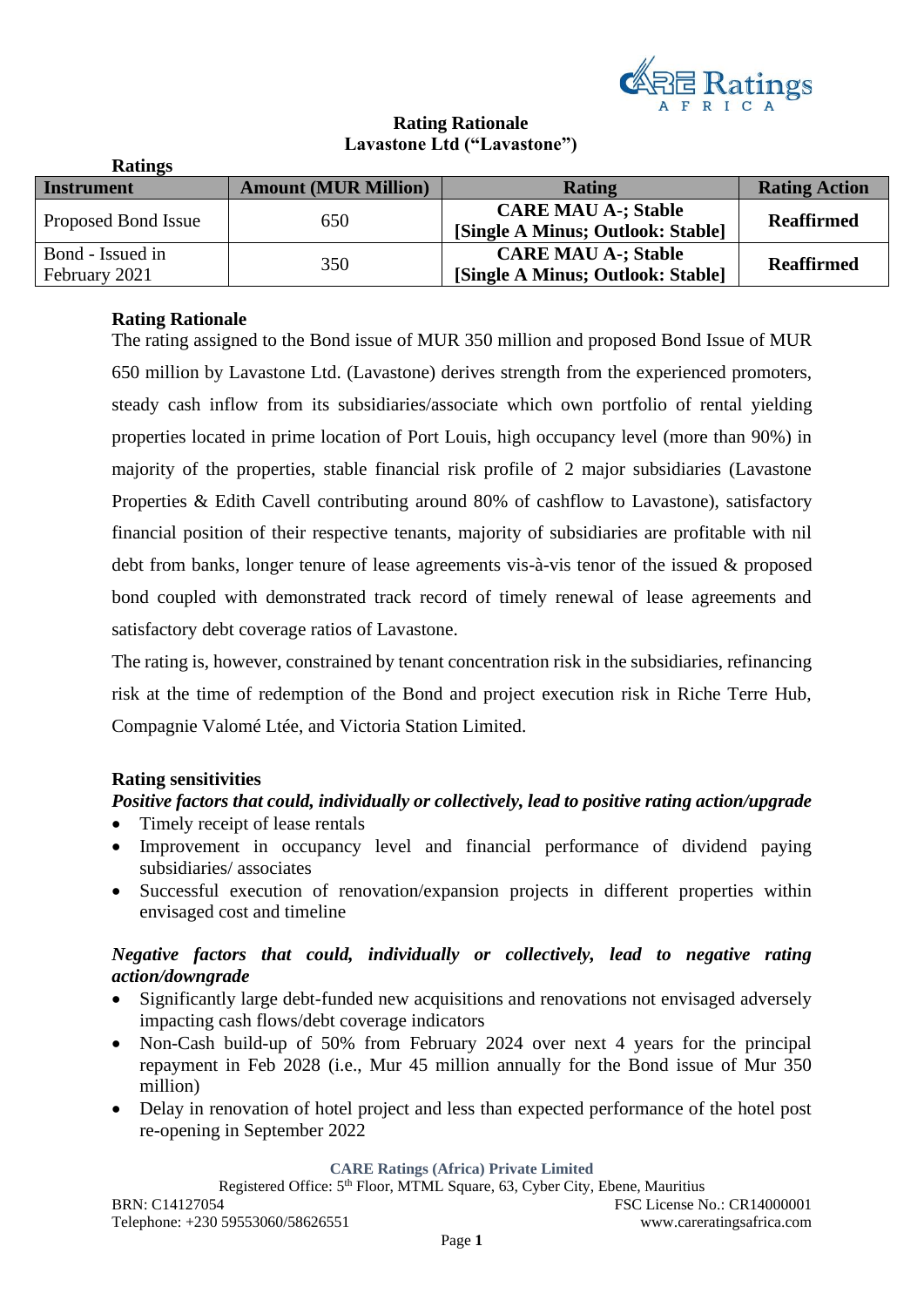

# **Rating Rationale Lavastone Ltd ("Lavastone")**

| <b>Ratings</b>                    |                             |                                                                 |                      |
|-----------------------------------|-----------------------------|-----------------------------------------------------------------|----------------------|
| <b>Instrument</b>                 | <b>Amount (MUR Million)</b> | <b>Rating</b>                                                   | <b>Rating Action</b> |
| Proposed Bond Issue               | 650                         | <b>CARE MAU A-; Stable</b><br>[Single A Minus; Outlook: Stable] | <b>Reaffirmed</b>    |
| Bond - Issued in<br>February 2021 | 350                         | <b>CARE MAU A-; Stable</b><br>[Single A Minus; Outlook: Stable] | <b>Reaffirmed</b>    |

# **Rating Rationale**

The rating assigned to the Bond issue of MUR 350 million and proposed Bond Issue of MUR 650 million by Lavastone Ltd. (Lavastone) derives strength from the experienced promoters, steady cash inflow from its subsidiaries/associate which own portfolio of rental yielding properties located in prime location of Port Louis, high occupancy level (more than 90%) in majority of the properties, stable financial risk profile of 2 major subsidiaries (Lavastone Properties & Edith Cavell contributing around 80% of cashflow to Lavastone), satisfactory financial position of their respective tenants, majority of subsidiaries are profitable with nil debt from banks, longer tenure of lease agreements vis-à-vis tenor of the issued & proposed bond coupled with demonstrated track record of timely renewal of lease agreements and satisfactory debt coverage ratios of Lavastone.

The rating is, however, constrained by tenant concentration risk in the subsidiaries, refinancing risk at the time of redemption of the Bond and project execution risk in Riche Terre Hub, Compagnie Valomé Ltée, and Victoria Station Limited.

#### **Rating sensitivities**

#### *Positive factors that could, individually or collectively, lead to positive rating action/upgrade*

- Timely receipt of lease rentals
- Improvement in occupancy level and financial performance of dividend paying subsidiaries/ associates
- Successful execution of renovation/expansion projects in different properties within envisaged cost and timeline

#### *Negative factors that could, individually or collectively, lead to negative rating action/downgrade*

- Significantly large debt-funded new acquisitions and renovations not envisaged adversely impacting cash flows/debt coverage indicators
- Non-Cash build-up of 50% from February 2024 over next 4 years for the principal repayment in Feb 2028 (i.e., Mur 45 million annually for the Bond issue of Mur 350 million)
- Delay in renovation of hotel project and less than expected performance of the hotel post re-opening in September 2022

**CARE Ratings (Africa) Private Limited**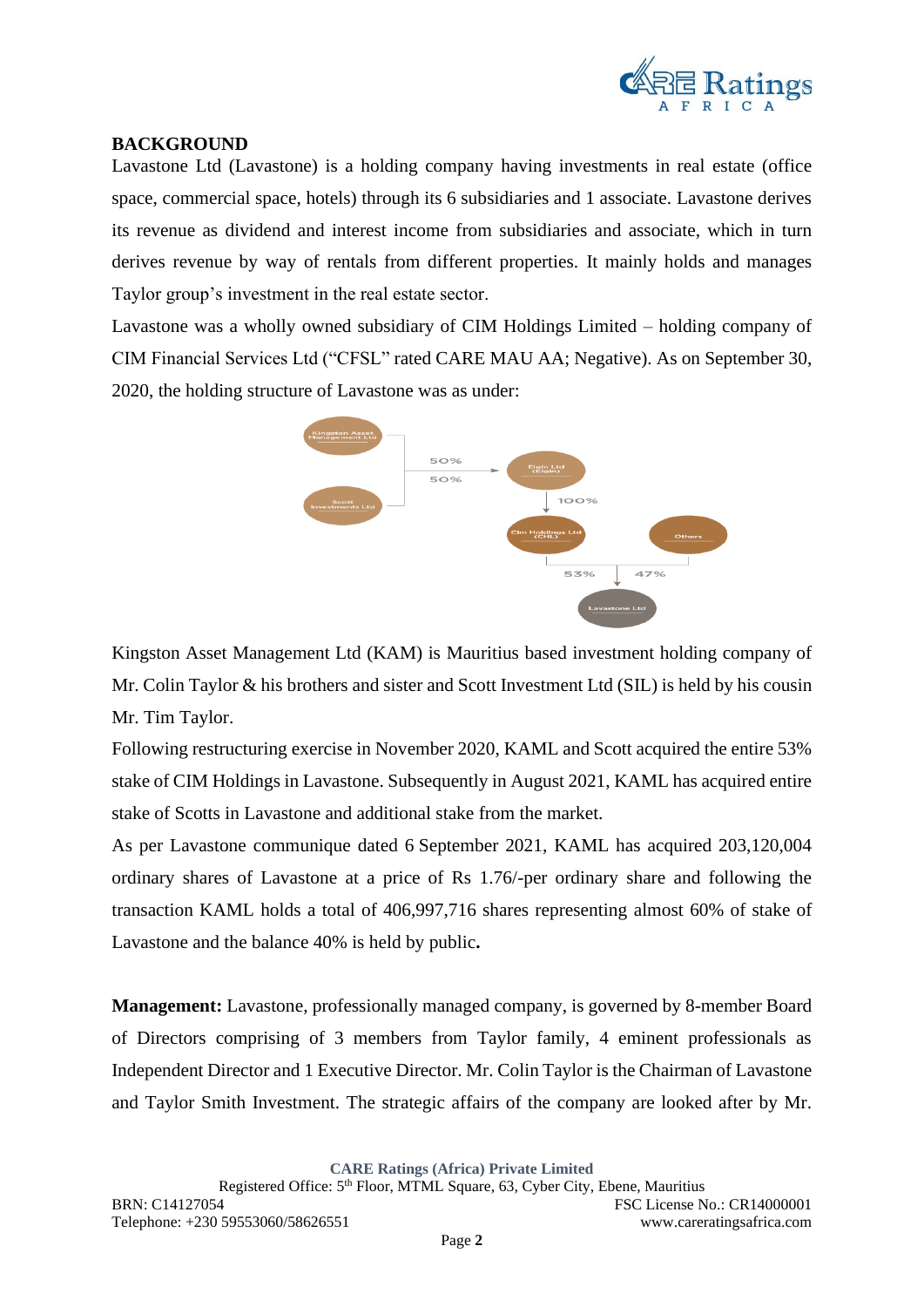

#### **BACKGROUND**

Lavastone Ltd (Lavastone) is a holding company having investments in real estate (office space, commercial space, hotels) through its 6 subsidiaries and 1 associate. Lavastone derives its revenue as dividend and interest income from subsidiaries and associate, which in turn derives revenue by way of rentals from different properties. It mainly holds and manages Taylor group's investment in the real estate sector.

Lavastone was a wholly owned subsidiary of CIM Holdings Limited – holding company of CIM Financial Services Ltd ("CFSL" rated CARE MAU AA; Negative). As on September 30, 2020, the holding structure of Lavastone was as under:



Kingston Asset Management Ltd (KAM) is Mauritius based investment holding company of Mr. Colin Taylor & his brothers and sister and Scott Investment Ltd (SIL) is held by his cousin Mr. Tim Taylor.

Following restructuring exercise in November 2020, KAML and Scott acquired the entire 53% stake of CIM Holdings in Lavastone. Subsequently in August 2021, KAML has acquired entire stake of Scotts in Lavastone and additional stake from the market.

As per Lavastone communique dated 6 September 2021, KAML has acquired 203,120,004 ordinary shares of Lavastone at a price of Rs 1.76/-per ordinary share and following the transaction KAML holds a total of 406,997,716 shares representing almost 60% of stake of Lavastone and the balance 40% is held by public**.**

**Management:** Lavastone, professionally managed company, is governed by 8-member Board of Directors comprising of 3 members from Taylor family, 4 eminent professionals as Independent Director and 1 Executive Director. Mr. Colin Taylor is the Chairman of Lavastone and Taylor Smith Investment. The strategic affairs of the company are looked after by Mr.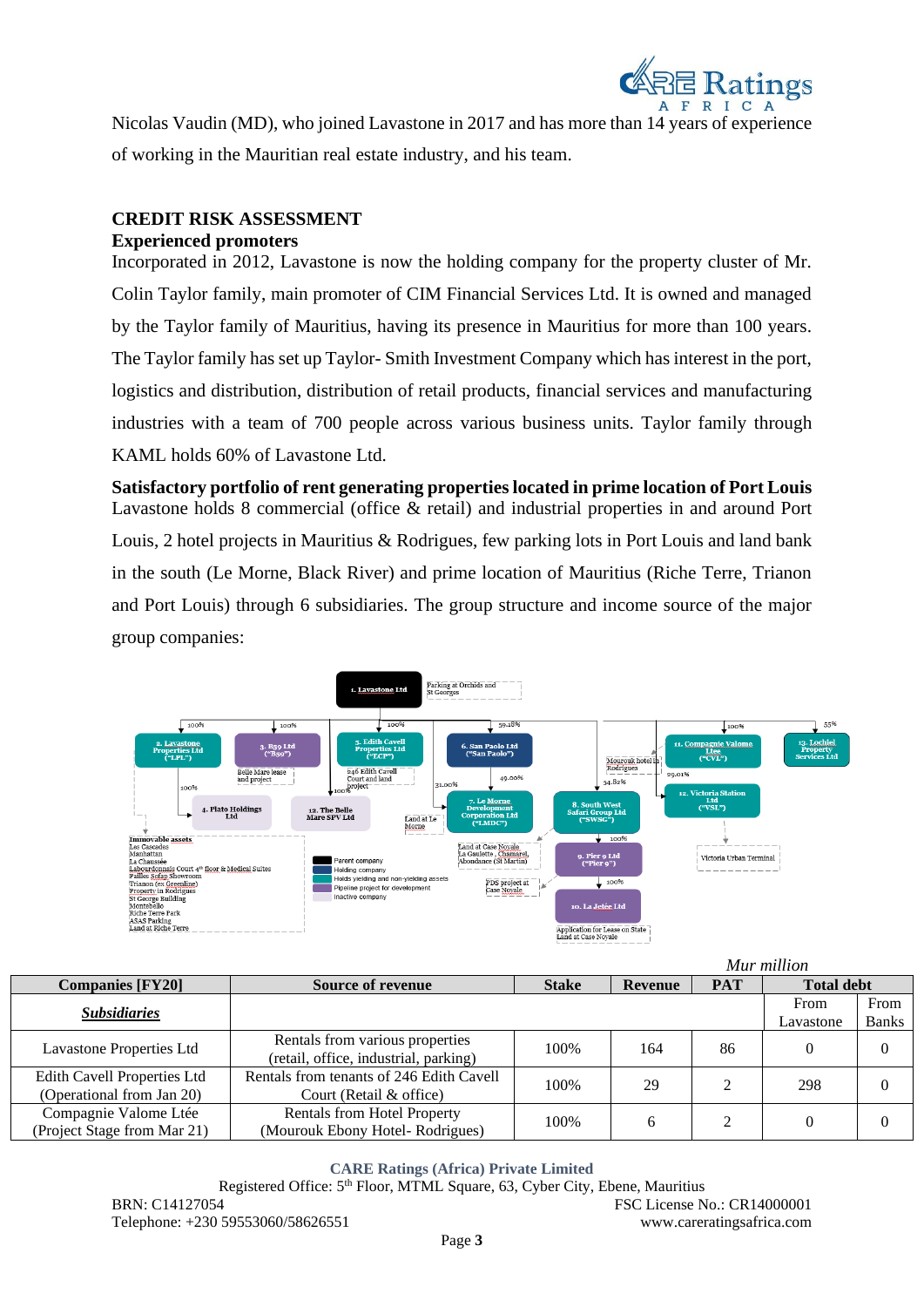

Nicolas Vaudin (MD), who joined Lavastone in 2017 and has more than 14 years of experience of working in the Mauritian real estate industry, and his team.

# **CREDIT RISK ASSESSMENT**

**Experienced promoters**

Incorporated in 2012, Lavastone is now the holding company for the property cluster of Mr. Colin Taylor family, main promoter of CIM Financial Services Ltd. It is owned and managed by the Taylor family of Mauritius, having its presence in Mauritius for more than 100 years. The Taylor family has set up Taylor- Smith Investment Company which has interest in the port, logistics and distribution, distribution of retail products, financial services and manufacturing industries with a team of 700 people across various business units. Taylor family through KAML holds 60% of Lavastone Ltd.

**Satisfactory portfolio of rent generating properties located in prime location of Port Louis** Lavastone holds 8 commercial (office & retail) and industrial properties in and around Port Louis, 2 hotel projects in Mauritius & Rodrigues, few parking lots in Port Louis and land bank in the south (Le Morne, Black River) and prime location of Mauritius (Riche Terre, Trianon and Port Louis) through 6 subsidiaries. The group structure and income source of the major group companies:



|                                                          |                                                                          |      |     |                | wur muuon         |              |
|----------------------------------------------------------|--------------------------------------------------------------------------|------|-----|----------------|-------------------|--------------|
| <b>Companies [FY20]</b>                                  | <b>Stake</b><br><b>PAT</b><br><b>Source of revenue</b><br><b>Revenue</b> |      |     |                | <b>Total debt</b> |              |
| <b>Subsidiaries</b>                                      |                                                                          |      |     |                | From              | From         |
|                                                          |                                                                          |      |     |                | Lavastone         | <b>Banks</b> |
| Lavastone Properties Ltd                                 | Rentals from various properties<br>(retail, office, industrial, parking) | 100% | 164 | 86             |                   |              |
| Edith Cavell Properties Ltd<br>(Operational from Jan 20) | Rentals from tenants of 246 Edith Cavell<br>Court (Retail & office)      | 100% | 29  | $\mathfrak{D}$ | 298               |              |
| Compagnie Valome Ltée<br>(Project Stage from Mar 21)     | <b>Rentals from Hotel Property</b><br>(Mourouk Ebony Hotel-Rodrigues)    | 100% | 6   | 2              |                   |              |

**CARE Ratings (Africa) Private Limited**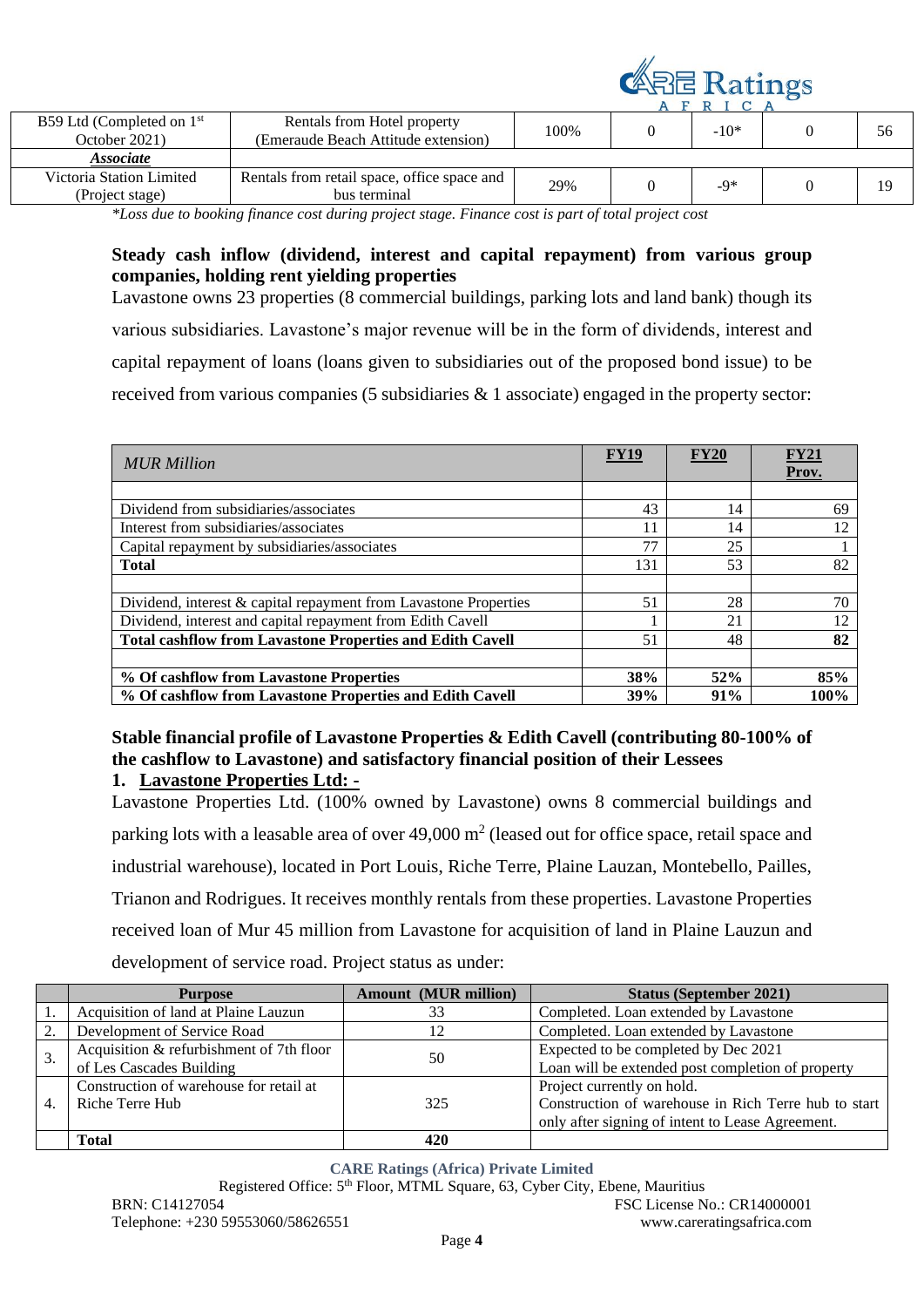

|                                                                                                     |                                                                    |      |  | RLCA   |  |    |
|-----------------------------------------------------------------------------------------------------|--------------------------------------------------------------------|------|--|--------|--|----|
| B59 Ltd (Completed on $1st$<br>October 2021)                                                        | Rentals from Hotel property<br>(Emeraude Beach Attitude extension) | 100% |  | $-10*$ |  | 56 |
| <i><b>Associate</b></i>                                                                             |                                                                    |      |  |        |  |    |
| Victoria Station Limited                                                                            | Rentals from retail space, office space and                        | 29%  |  | -9*    |  |    |
| (Project stage)                                                                                     | bus terminal                                                       |      |  |        |  |    |
| *I ess due to booking finance goot during project stage. Finance goot is part of total project goot |                                                                    |      |  |        |  |    |

*\*Loss due to booking finance cost during project stage. Finance cost is part of total project cost*

# **Steady cash inflow (dividend, interest and capital repayment) from various group companies, holding rent yielding properties**

Lavastone owns 23 properties (8 commercial buildings, parking lots and land bank) though its various subsidiaries. Lavastone's major revenue will be in the form of dividends, interest and capital repayment of loans (loans given to subsidiaries out of the proposed bond issue) to be received from various companies (5 subsidiaries & 1 associate) engaged in the property sector:

| <b>MUR Million</b>                                               | FY19 | <b>FY20</b> | FY21<br>Prov. |
|------------------------------------------------------------------|------|-------------|---------------|
|                                                                  |      |             |               |
| Dividend from subsidiaries/associates                            | 43   | 14          | 69            |
| Interest from subsidiaries/associates                            | 11   | 14          | 12            |
| Capital repayment by subsidiaries/associates                     | 77   | 25          |               |
| <b>Total</b>                                                     | 131  | 53          | 82            |
|                                                                  |      |             |               |
| Dividend, interest & capital repayment from Lavastone Properties | 51   | 28          | 70            |
| Dividend, interest and capital repayment from Edith Cavell       |      | 21          | 12            |
| <b>Total cashflow from Lavastone Properties and Edith Cavell</b> | 51   | 48          | 82            |
|                                                                  |      |             |               |
| % Of cashflow from Lavastone Properties                          | 38%  | 52%         | 85%           |
| % Of cashflow from Lavastone Properties and Edith Cavell         | 39%  | 91%         | 100%          |

#### **Stable financial profile of Lavastone Properties & Edith Cavell (contributing 80-100% of the cashflow to Lavastone) and satisfactory financial position of their Lessees 1. Lavastone Properties Ltd: -**

Lavastone Properties Ltd. (100% owned by Lavastone) owns 8 commercial buildings and parking lots with a leasable area of over  $49,000 \text{ m}^2$  (leased out for office space, retail space and industrial warehouse), located in Port Louis, Riche Terre, Plaine Lauzan, Montebello, Pailles, Trianon and Rodrigues. It receives monthly rentals from these properties. Lavastone Properties received loan of Mur 45 million from Lavastone for acquisition of land in Plaine Lauzun and development of service road. Project status as under:

|                  | <b>Purpose</b>                           | <b>Amount (MUR million)</b> | <b>Status (September 2021)</b>                       |
|------------------|------------------------------------------|-----------------------------|------------------------------------------------------|
|                  | Acquisition of land at Plaine Lauzun     | 33                          | Completed. Loan extended by Lavastone                |
| 2.               | Development of Service Road              |                             | Completed. Loan extended by Lavastone                |
|                  | Acquisition & refurbishment of 7th floor |                             | Expected to be completed by Dec 2021                 |
|                  | of Les Cascades Building                 | 50                          | Loan will be extended post completion of property    |
|                  | Construction of warehouse for retail at  |                             | Project currently on hold.                           |
| $\overline{4}$ . | Riche Terre Hub                          | 325                         | Construction of warehouse in Rich Terre hub to start |
|                  |                                          |                             | only after signing of intent to Lease Agreement.     |
|                  | Total                                    |                             |                                                      |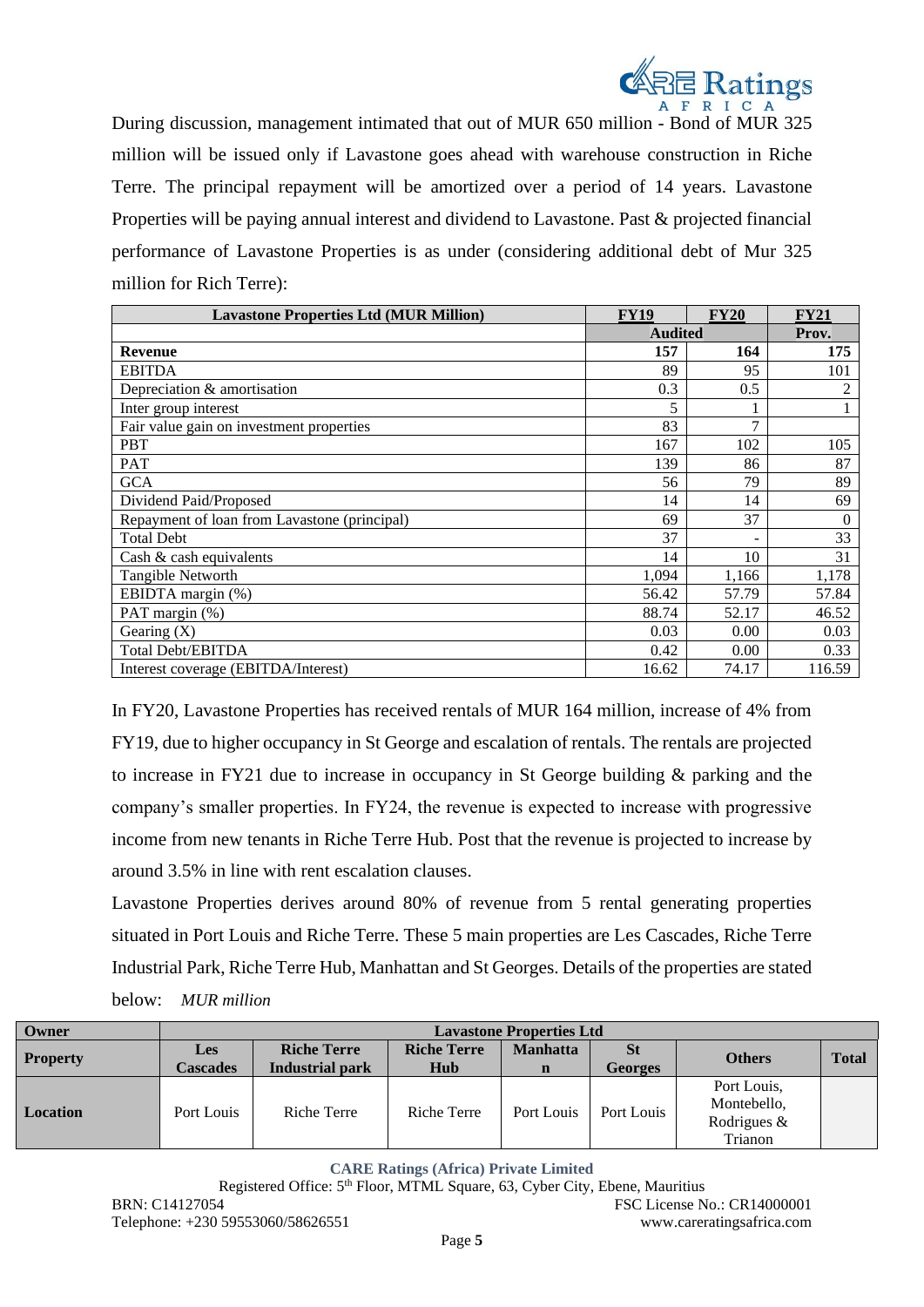

During discussion, management intimated that out of MUR 650 million - Bond of MUR 325 million will be issued only if Lavastone goes ahead with warehouse construction in Riche Terre. The principal repayment will be amortized over a period of 14 years. Lavastone Properties will be paying annual interest and dividend to Lavastone. Past & projected financial performance of Lavastone Properties is as under (considering additional debt of Mur 325 million for Rich Terre):

| <b>Lavastone Properties Ltd (MUR Million)</b> | <b>FY19</b>    | <b>FY20</b>   | <b>FY21</b> |
|-----------------------------------------------|----------------|---------------|-------------|
|                                               | <b>Audited</b> |               | Prov.       |
| <b>Revenue</b>                                | 157            | 164           | 175         |
| <b>EBITDA</b>                                 | 89             | 95            | 101         |
| Depreciation & amortisation                   | 0.3            | 0.5           | 2           |
| Inter group interest                          | 5              |               |             |
| Fair value gain on investment properties      | 83             | $\mathcal{I}$ |             |
| <b>PBT</b>                                    | 167            | 102           | 105         |
| <b>PAT</b>                                    | 139            | 86            | 87          |
| <b>GCA</b>                                    | 56             | 79            | 89          |
| Dividend Paid/Proposed                        | 14             | 14            | 69          |
| Repayment of loan from Lavastone (principal)  | 69             | 37            | $\Omega$    |
| <b>Total Debt</b>                             | 37             | ۰             | 33          |
| Cash $\&$ cash equivalents                    | 14             | 10            | 31          |
| Tangible Networth                             | 1,094          | 1,166         | 1,178       |
| EBIDTA margin (%)                             | 56.42          | 57.79         | 57.84       |
| PAT margin (%)                                | 88.74          | 52.17         | 46.52       |
| Gearing $(X)$                                 | 0.03           | 0.00          | 0.03        |
| <b>Total Debt/EBITDA</b>                      | 0.42           | 0.00          | 0.33        |
| Interest coverage (EBITDA/Interest)           | 16.62          | 74.17         | 116.59      |

In FY20, Lavastone Properties has received rentals of MUR 164 million, increase of 4% from FY19, due to higher occupancy in St George and escalation of rentals. The rentals are projected to increase in FY21 due to increase in occupancy in St George building & parking and the company's smaller properties. In FY24, the revenue is expected to increase with progressive income from new tenants in Riche Terre Hub. Post that the revenue is projected to increase by around 3.5% in line with rent escalation clauses.

Lavastone Properties derives around 80% of revenue from 5 rental generating properties situated in Port Louis and Riche Terre. These 5 main properties are Les Cascades, Riche Terre Industrial Park, Riche Terre Hub, Manhattan and St Georges. Details of the properties are stated below: *MUR million*

| Owner           | <b>Lavastone Properties Ltd</b> |                        |                    |                 |                |                |              |
|-----------------|---------------------------------|------------------------|--------------------|-----------------|----------------|----------------|--------------|
|                 | Les                             | <b>Riche Terre</b>     | <b>Riche Terre</b> | <b>Manhatta</b> | <b>St</b>      | <b>Others</b>  | <b>Total</b> |
| <b>Property</b> | <b>Cascades</b>                 | <b>Industrial park</b> | Hub                | $\mathbf n$     | <b>Georges</b> |                |              |
| Location        | Port Louis                      | Riche Terre            | Riche Terre        |                 |                | Port Louis,    |              |
|                 |                                 |                        |                    | Port Louis      | Port Louis     | Montebello,    |              |
|                 |                                 |                        |                    |                 |                | Rodrigues $\&$ |              |
|                 |                                 |                        |                    |                 |                | Trianon        |              |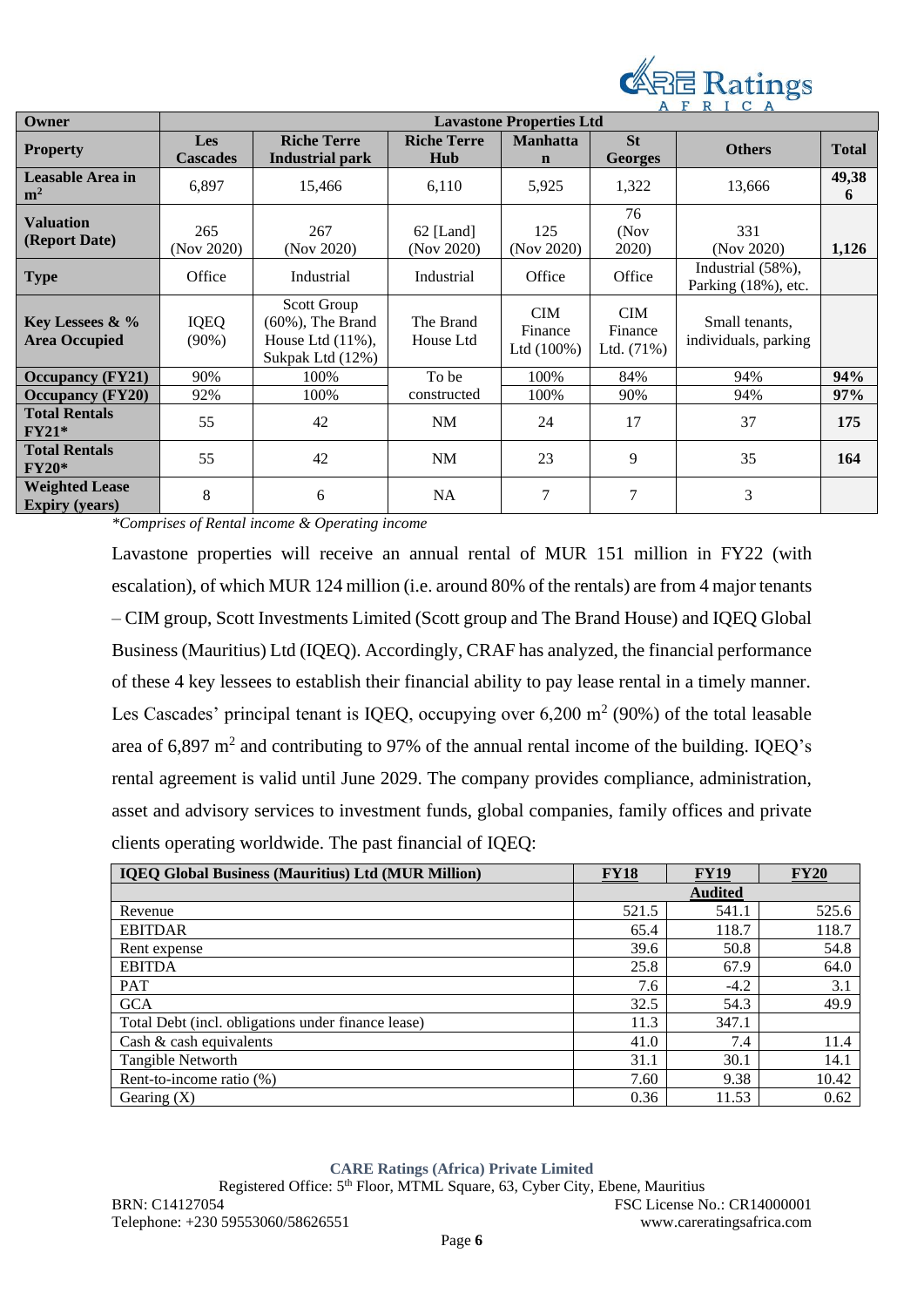

| Owner                                          | <b>Lavastone Properties Ltd</b> |                                                                                 |                           |                                        |                                       |                                              |              |
|------------------------------------------------|---------------------------------|---------------------------------------------------------------------------------|---------------------------|----------------------------------------|---------------------------------------|----------------------------------------------|--------------|
| <b>Property</b>                                | <b>Les</b>                      | <b>Riche Terre</b>                                                              | <b>Riche Terre</b>        | <b>Manhatta</b>                        | <b>St</b>                             | <b>Others</b>                                | <b>Total</b> |
|                                                | <b>Cascades</b>                 | <b>Industrial park</b>                                                          | Hub                       | $\mathbf n$                            | <b>Georges</b>                        |                                              |              |
| Leasable Area in<br>m <sup>2</sup>             | 6,897                           | 15,466                                                                          | 6,110                     | 5,925                                  | 1,322                                 | 13,666                                       | 49,38<br>6   |
| <b>Valuation</b><br>(Report Date)              | 265<br>(Nov 2020)               | 267<br>(Nov 2020)                                                               | $62$ [Land]<br>(Nov 2020) | 125<br>(Nov 2020)                      | 76<br>(Nov)<br>2020)                  | 331<br>(Nov 2020)                            | 1,126        |
| <b>Type</b>                                    | Office                          | Industrial                                                                      | Industrial                | Office                                 | Office                                | Industrial $(58\%)$ ,<br>Parking (18%), etc. |              |
| Key Lessees $\&\%$<br><b>Area Occupied</b>     | <b>IQEQ</b><br>$(90\%)$         | Scott Group<br>$(60\%)$ , The Brand<br>House Ltd $(11\%)$ ,<br>Sukpak Ltd (12%) | The Brand<br>House Ltd    | <b>CIM</b><br>Finance<br>Ltd $(100\%)$ | <b>CIM</b><br>Finance<br>Ltd. $(71%)$ | Small tenants.<br>individuals, parking       |              |
| <b>Occupancy (FY21)</b>                        | 90%                             | 100%                                                                            | To be                     | 100%                                   | 84%                                   | 94%                                          | 94%          |
| <b>Occupancy</b> (FY20)                        | 92%                             | 100%                                                                            | constructed               | 100%                                   | 90%                                   | 94%                                          | 97%          |
| <b>Total Rentals</b><br>$FY21*$                | 55                              | 42                                                                              | NM                        | 24                                     | 17                                    | 37                                           | 175          |
| <b>Total Rentals</b><br>$FY20*$                | 55                              | 42                                                                              | NM                        | 23                                     | 9                                     | 35                                           | 164          |
| <b>Weighted Lease</b><br><b>Expiry</b> (years) | 8                               | 6                                                                               | NA                        | 7                                      | 7                                     | 3                                            |              |

*\*Comprises of Rental income & Operating income*

Lavastone properties will receive an annual rental of MUR 151 million in FY22 (with escalation), of which MUR 124 million (i.e. around 80% of the rentals) are from 4 major tenants – CIM group, Scott Investments Limited (Scott group and The Brand House) and IQEQ Global Business (Mauritius) Ltd (IQEQ). Accordingly, CRAF has analyzed, the financial performance of these 4 key lessees to establish their financial ability to pay lease rental in a timely manner. Les Cascades' principal tenant is IQEQ, occupying over  $6,200 \text{ m}^2 (90\%)$  of the total leasable area of  $6,897 \text{ m}^2$  and contributing to 97% of the annual rental income of the building. IQEQ's rental agreement is valid until June 2029. The company provides compliance, administration, asset and advisory services to investment funds, global companies, family offices and private clients operating worldwide. The past financial of IQEQ:

| <b>IQEQ Global Business (Mauritius) Ltd (MUR Million)</b> | <b>FY18</b> | <b>FY19</b>    | <b>FY20</b> |
|-----------------------------------------------------------|-------------|----------------|-------------|
|                                                           |             | <b>Audited</b> |             |
| Revenue                                                   | 521.5       | 541.1          | 525.6       |
| <b>EBITDAR</b>                                            | 65.4        | 118.7          | 118.7       |
| Rent expense                                              | 39.6        | 50.8           | 54.8        |
| <b>EBITDA</b>                                             | 25.8        | 67.9           | 64.0        |
| <b>PAT</b>                                                | 7.6         | $-4.2$         | 3.1         |
| <b>GCA</b>                                                | 32.5        | 54.3           | 49.9        |
| Total Debt (incl. obligations under finance lease)        | 11.3        | 347.1          |             |
| Cash & cash equivalents                                   | 41.0        | 7.4            | 11.4        |
| Tangible Networth                                         | 31.1        | 30.1           | 14.1        |
| Rent-to-income ratio (%)                                  | 7.60        | 9.38           | 10.42       |
| Gearing $(X)$                                             | 0.36        | 11.53          | 0.62        |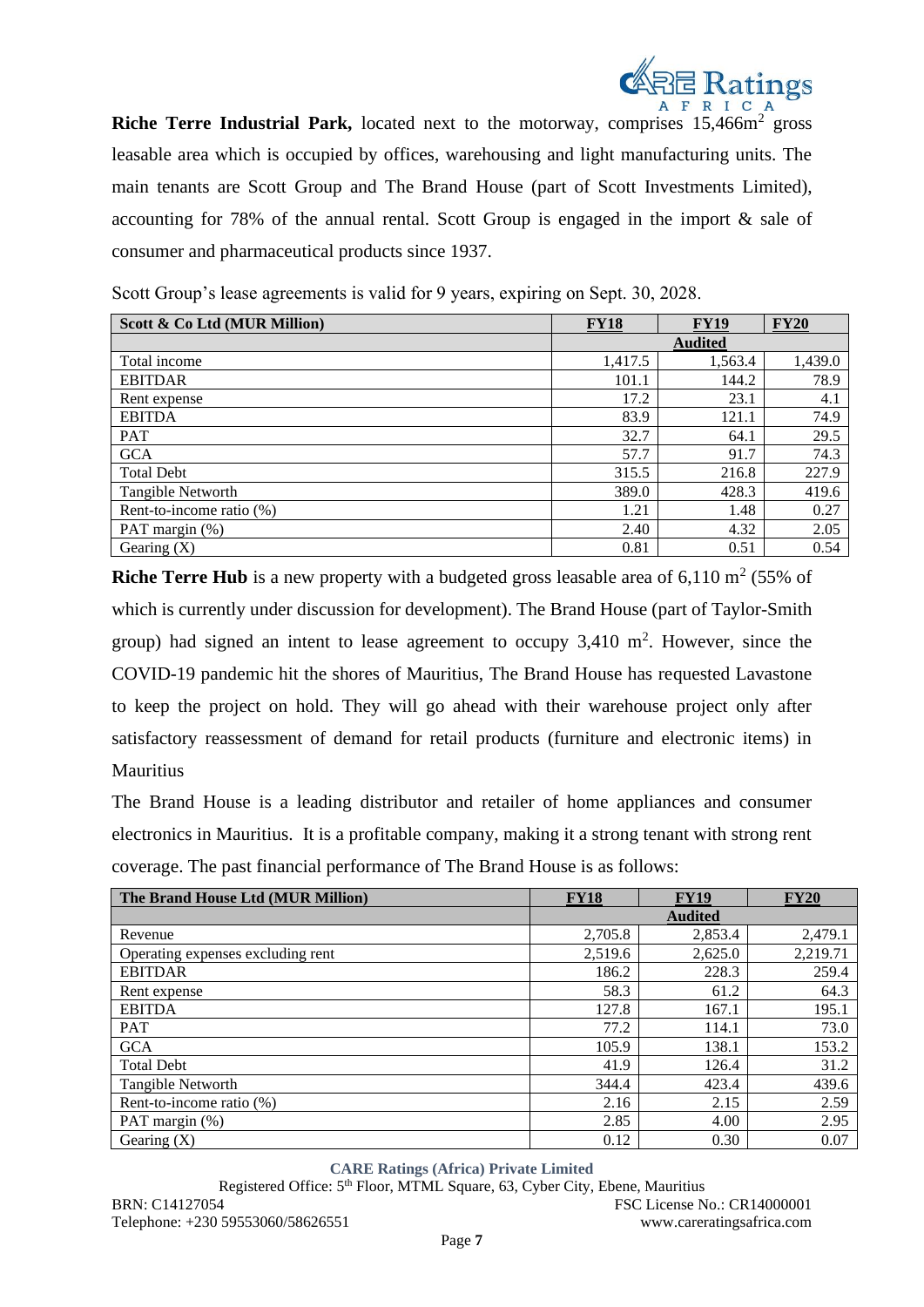

**Riche Terre Industrial Park,** located next to the motorway, comprises 15,466m<sup>2</sup> gross leasable area which is occupied by offices, warehousing and light manufacturing units. The main tenants are Scott Group and The Brand House (part of Scott Investments Limited), accounting for 78% of the annual rental. Scott Group is engaged in the import & sale of consumer and pharmaceutical products since 1937.

**Scott & Co Ltd (MUR Million) FY18 FY18 FY19 FY20 Audited** Total income 1,417.5 1,563.4 1,439.0 EBITDAR 101.1 144.2 78.9 Rent expense 23.1 23.1 4.1 EBITDA 121.1 74.9 PAT  $32.7$  64.1 29.5 GCA 57.7 91.7 91.7 91.7 91.7 91.7 91.7  $\frac{1}{2}$ Total Debt 227.9 Tangible Networth 19.6 and 19.6 and 19.6 and 19.6 and 19.6 and 19.6 and 19.6 and 19.6 and 19.6 and 19.6 and 19 Rent-to-income ratio (%)  $1.21$   $1.48$  0.27 PAT margin (%) 2.40 2.40 4.32 2.05 Gearing (X)  $0.81$  0.51 0.54

Scott Group's lease agreements is valid for 9 years, expiring on Sept. 30, 2028.

**Riche Terre Hub** is a new property with a budgeted gross leasable area of  $6,110 \text{ m}^2$  (55% of which is currently under discussion for development). The Brand House (part of Taylor-Smith group) had signed an intent to lease agreement to occupy  $3,410 \text{ m}^2$ . However, since the COVID-19 pandemic hit the shores of Mauritius, The Brand House has requested Lavastone to keep the project on hold. They will go ahead with their warehouse project only after satisfactory reassessment of demand for retail products (furniture and electronic items) in Mauritius

The Brand House is a leading distributor and retailer of home appliances and consumer electronics in Mauritius. It is a profitable company, making it a strong tenant with strong rent coverage. The past financial performance of The Brand House is as follows:

| The Brand House Ltd (MUR Million) | <b>FY18</b>    | <b>FY19</b> | <b>FY20</b> |  |
|-----------------------------------|----------------|-------------|-------------|--|
|                                   | <b>Audited</b> |             |             |  |
| Revenue                           | 2,705.8        | 2,853.4     | 2,479.1     |  |
| Operating expenses excluding rent | 2,519.6        | 2,625.0     | 2,219.71    |  |
| <b>EBITDAR</b>                    | 186.2          | 228.3       | 259.4       |  |
| Rent expense                      | 58.3           | 61.2        | 64.3        |  |
| <b>EBITDA</b>                     | 127.8          | 167.1       | 195.1       |  |
| <b>PAT</b>                        | 77.2           | 114.1       | 73.0        |  |
| <b>GCA</b>                        | 105.9          | 138.1       | 153.2       |  |
| <b>Total Debt</b>                 | 41.9           | 126.4       | 31.2        |  |
| Tangible Networth                 | 344.4          | 423.4       | 439.6       |  |
| Rent-to-income ratio (%)          | 2.16           | 2.15        | 2.59        |  |
| PAT margin (%)                    | 2.85           | 4.00        | 2.95        |  |
| Gearing $(X)$                     | 0.12           | 0.30        | 0.07        |  |

**CARE Ratings (Africa) Private Limited**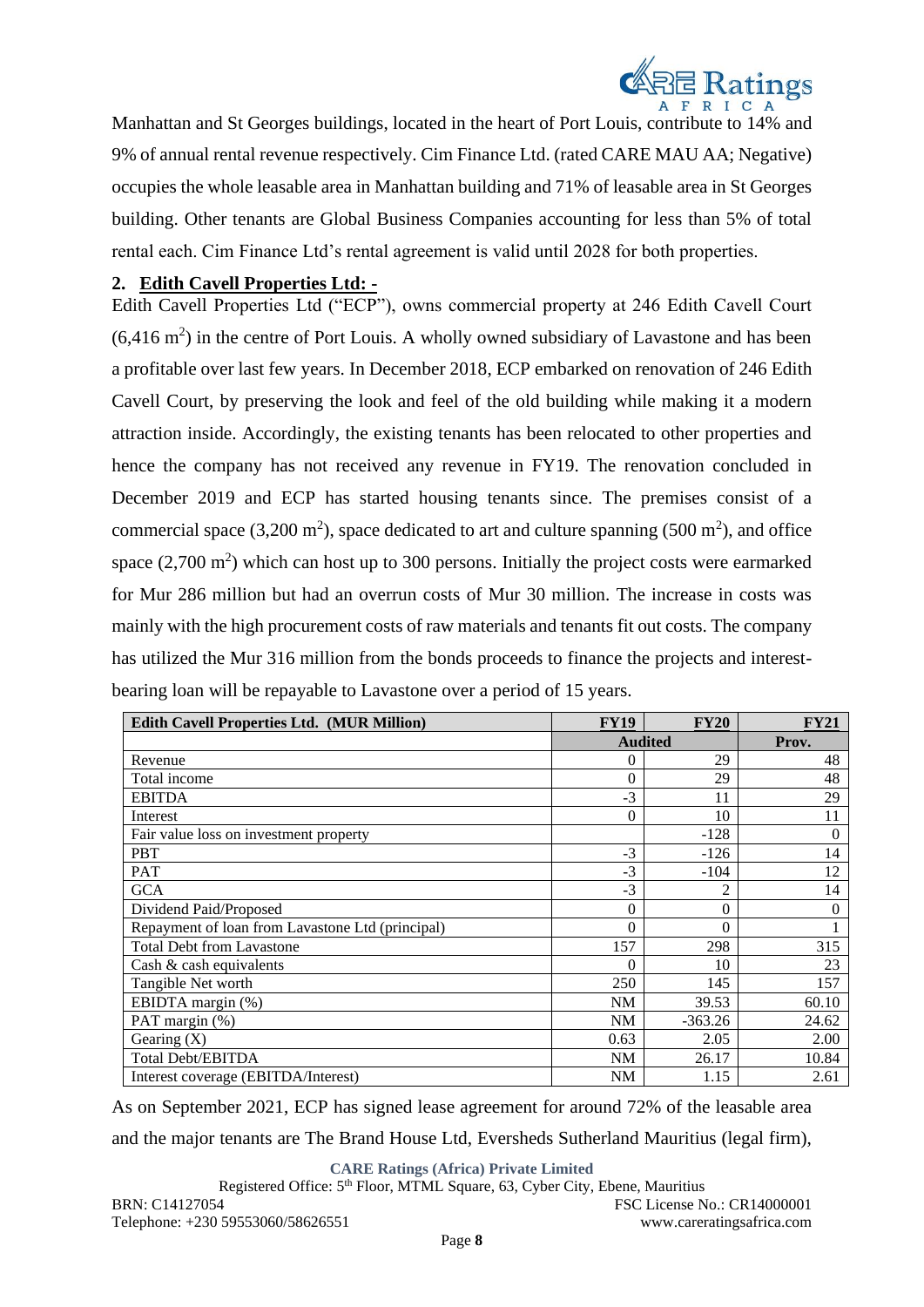

Manhattan and St Georges buildings, located in the heart of Port Louis, contribute to 14% and 9% of annual rental revenue respectively. Cim Finance Ltd. (rated CARE MAU AA; Negative) occupies the whole leasable area in Manhattan building and 71% of leasable area in St Georges building. Other tenants are Global Business Companies accounting for less than 5% of total rental each. Cim Finance Ltd's rental agreement is valid until 2028 for both properties.

# **2. Edith Cavell Properties Ltd: -**

Edith Cavell Properties Ltd ("ECP"), owns commercial property at 246 Edith Cavell Court  $(6,416 \text{ m}^2)$  in the centre of Port Louis. A wholly owned subsidiary of Lavastone and has been a profitable over last few years. In December 2018, ECP embarked on renovation of 246 Edith Cavell Court, by preserving the look and feel of the old building while making it a modern attraction inside. Accordingly, the existing tenants has been relocated to other properties and hence the company has not received any revenue in FY19. The renovation concluded in December 2019 and ECP has started housing tenants since. The premises consist of a commercial space (3,200 m<sup>2</sup>), space dedicated to art and culture spanning (500 m<sup>2</sup>), and office space  $(2,700 \text{ m}^2)$  which can host up to 300 persons. Initially the project costs were earmarked for Mur 286 million but had an overrun costs of Mur 30 million. The increase in costs was mainly with the high procurement costs of raw materials and tenants fit out costs. The company has utilized the Mur 316 million from the bonds proceeds to finance the projects and interestbearing loan will be repayable to Lavastone over a period of 15 years.

| <b>Edith Cavell Properties Ltd. (MUR Million)</b> | <b>FY19</b>    | <b>FY20</b>    | <b>FY21</b> |
|---------------------------------------------------|----------------|----------------|-------------|
|                                                   |                | <b>Audited</b> | Prov.       |
| Revenue                                           | 0              | 29             | 48          |
| Total income                                      | $\overline{0}$ | 29             | 48          |
| <b>EBITDA</b>                                     | $-3$           | 11             | 29          |
| Interest                                          | $\theta$       | 10             | 11          |
| Fair value loss on investment property            |                | $-128$         | $\Omega$    |
| <b>PBT</b>                                        | $-3$           | $-126$         | 14          |
| PAT                                               | $-3$           | $-104$         | 12          |
| <b>GCA</b>                                        | $-3$           | 2              | 14          |
| Dividend Paid/Proposed                            | $\overline{0}$ | 0              | $\theta$    |
| Repayment of loan from Lavastone Ltd (principal)  | $\theta$       | 0              |             |
| <b>Total Debt from Lavastone</b>                  | 157            | 298            | 315         |
| Cash & cash equivalents                           | $\theta$       | 10             | 23          |
| Tangible Net worth                                | 250            | 145            | 157         |
| EBIDTA margin (%)                                 | <b>NM</b>      | 39.53          | 60.10       |
| PAT margin (%)                                    | NM             | $-363.26$      | 24.62       |
| Gearing $(X)$                                     | 0.63           | 2.05           | 2.00        |
| <b>Total Debt/EBITDA</b>                          | NM             | 26.17          | 10.84       |
| Interest coverage (EBITDA/Interest)               | <b>NM</b>      | 1.15           | 2.61        |

As on September 2021, ECP has signed lease agreement for around 72% of the leasable area and the major tenants are The Brand House Ltd, Eversheds Sutherland Mauritius (legal firm),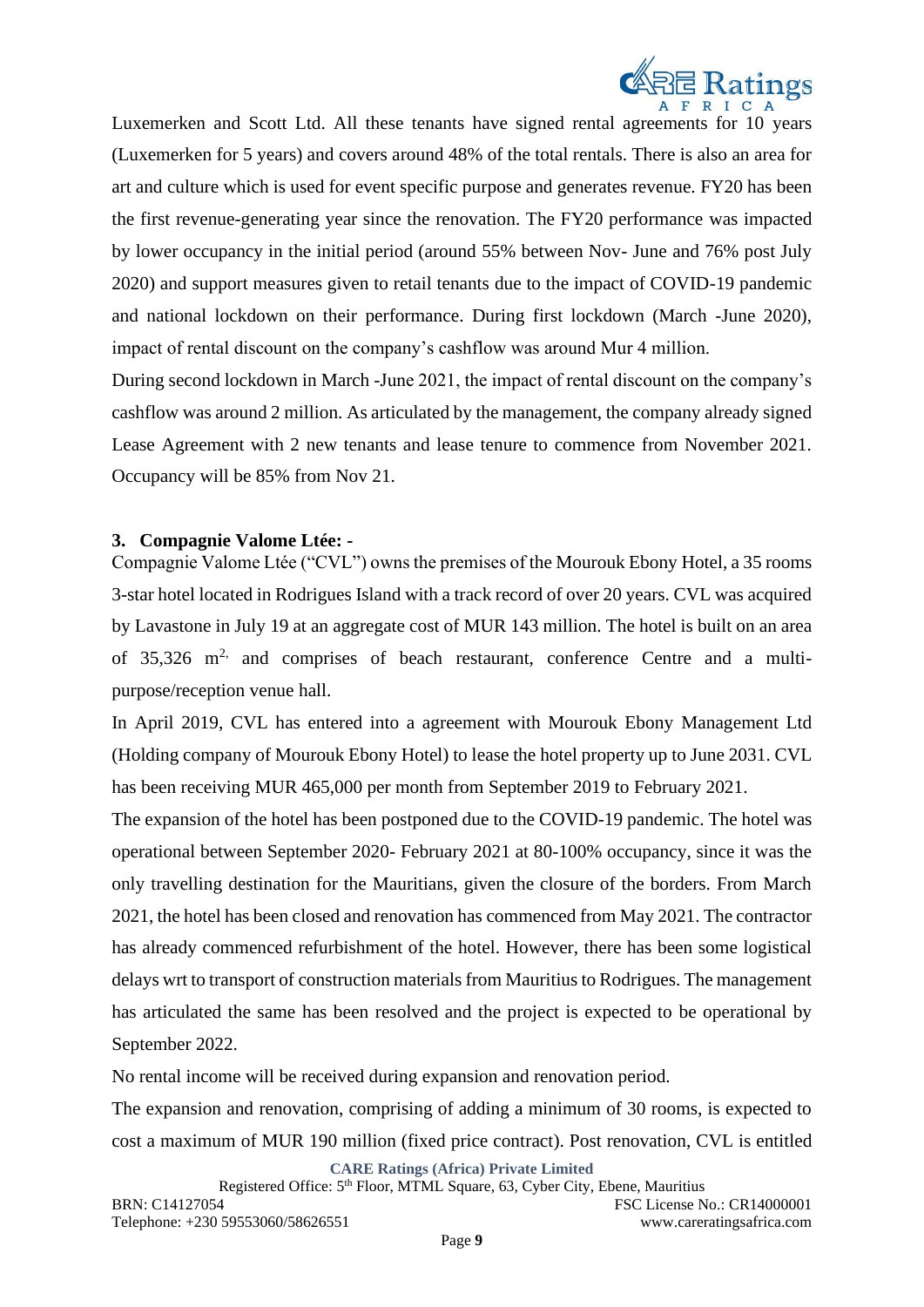

Luxemerken and Scott Ltd. All these tenants have signed rental agreements for 10 years (Luxemerken for 5 years) and covers around 48% of the total rentals. There is also an area for art and culture which is used for event specific purpose and generates revenue. FY20 has been the first revenue-generating year since the renovation. The FY20 performance was impacted by lower occupancy in the initial period (around 55% between Nov- June and 76% post July 2020) and support measures given to retail tenants due to the impact of COVID-19 pandemic and national lockdown on their performance. During first lockdown (March -June 2020), impact of rental discount on the company's cashflow was around Mur 4 million.

During second lockdown in March -June 2021, the impact of rental discount on the company's cashflow was around 2 million. As articulated by the management, the company already signed Lease Agreement with 2 new tenants and lease tenure to commence from November 2021. Occupancy will be 85% from Nov 21.

#### **3. Compagnie Valome Ltée: -**

Compagnie Valome Ltée ("CVL") owns the premises of the Mourouk Ebony Hotel, a 35 rooms 3-star hotel located in Rodrigues Island with a track record of over 20 years. CVL was acquired by Lavastone in July 19 at an aggregate cost of MUR 143 million. The hotel is built on an area of  $35,326$  m<sup>2,</sup> and comprises of beach restaurant, conference Centre and a multipurpose/reception venue hall.

In April 2019, CVL has entered into a agreement with Mourouk Ebony Management Ltd (Holding company of Mourouk Ebony Hotel) to lease the hotel property up to June 2031. CVL has been receiving MUR 465,000 per month from September 2019 to February 2021.

The expansion of the hotel has been postponed due to the COVID-19 pandemic. The hotel was operational between September 2020- February 2021 at 80-100% occupancy, since it was the only travelling destination for the Mauritians, given the closure of the borders. From March 2021, the hotel has been closed and renovation has commenced from May 2021. The contractor has already commenced refurbishment of the hotel. However, there has been some logistical delays wrt to transport of construction materials from Mauritius to Rodrigues. The management has articulated the same has been resolved and the project is expected to be operational by September 2022.

No rental income will be received during expansion and renovation period.

The expansion and renovation, comprising of adding a minimum of 30 rooms, is expected to cost a maximum of MUR 190 million (fixed price contract). Post renovation, CVL is entitled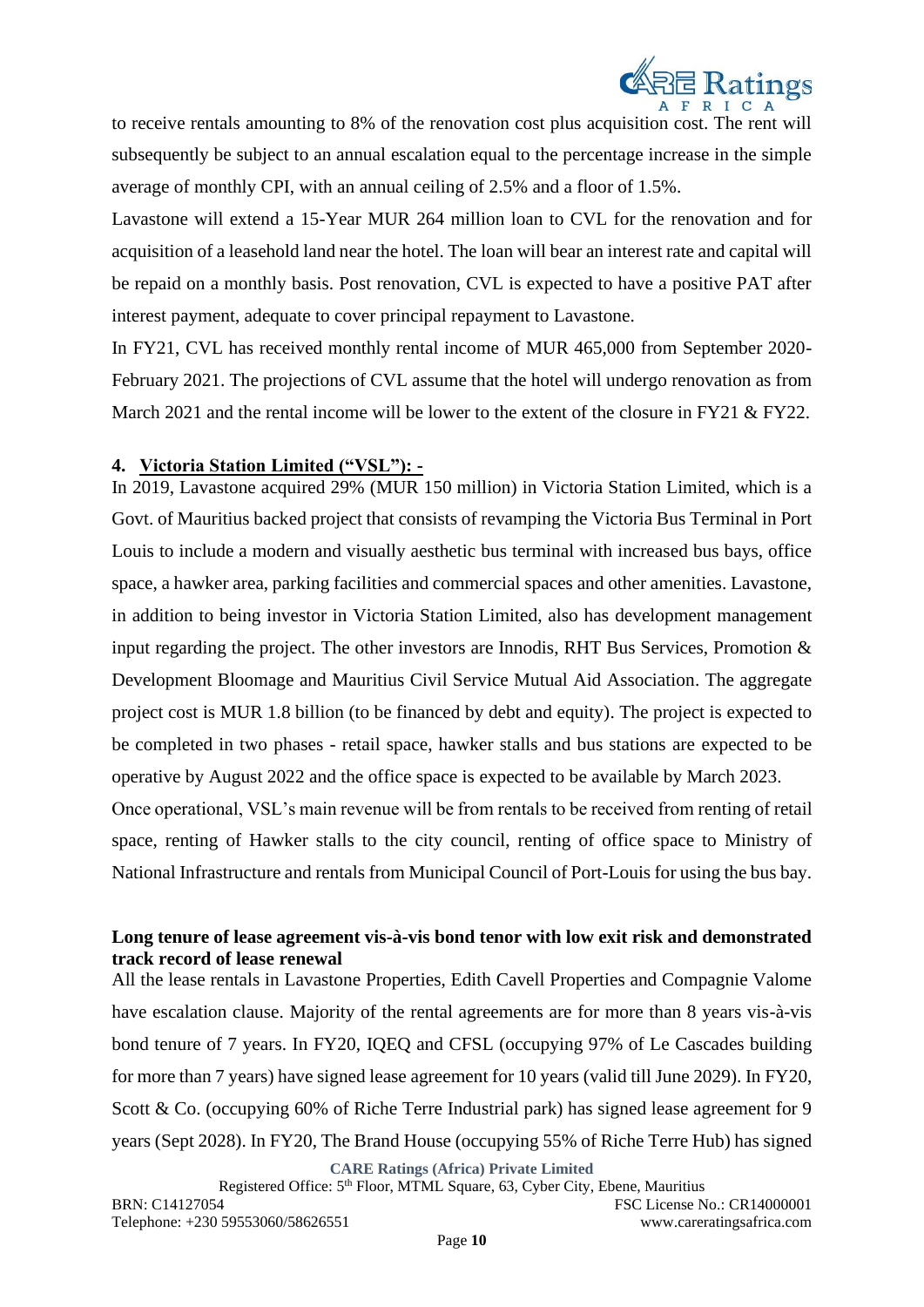

to receive rentals amounting to 8% of the renovation cost plus acquisition cost. The rent will subsequently be subject to an annual escalation equal to the percentage increase in the simple average of monthly CPI, with an annual ceiling of 2.5% and a floor of 1.5%.

Lavastone will extend a 15-Year MUR 264 million loan to CVL for the renovation and for acquisition of a leasehold land near the hotel. The loan will bear an interest rate and capital will be repaid on a monthly basis. Post renovation, CVL is expected to have a positive PAT after interest payment, adequate to cover principal repayment to Lavastone.

In FY21, CVL has received monthly rental income of MUR 465,000 from September 2020- February 2021. The projections of CVL assume that the hotel will undergo renovation as from March 2021 and the rental income will be lower to the extent of the closure in FY21 & FY22.

#### **4. Victoria Station Limited ("VSL"): -**

In 2019, Lavastone acquired 29% (MUR 150 million) in Victoria Station Limited, which is a Govt. of Mauritius backed project that consists of revamping the Victoria Bus Terminal in Port Louis to include a modern and visually aesthetic bus terminal with increased bus bays, office space, a hawker area, parking facilities and commercial spaces and other amenities. Lavastone, in addition to being investor in Victoria Station Limited, also has development management input regarding the project. The other investors are Innodis, RHT Bus Services, Promotion  $\&$ Development Bloomage and Mauritius Civil Service Mutual Aid Association. The aggregate project cost is MUR 1.8 billion (to be financed by debt and equity). The project is expected to be completed in two phases - retail space, hawker stalls and bus stations are expected to be operative by August 2022 and the office space is expected to be available by March 2023.

Once operational, VSL's main revenue will be from rentals to be received from renting of retail space, renting of Hawker stalls to the city council, renting of office space to Ministry of National Infrastructure and rentals from Municipal Council of Port-Louis for using the bus bay.

#### **Long tenure of lease agreement vis-à-vis bond tenor with low exit risk and demonstrated track record of lease renewal**

All the lease rentals in Lavastone Properties, Edith Cavell Properties and Compagnie Valome have escalation clause. Majority of the rental agreements are for more than 8 years vis-à-vis bond tenure of 7 years. In FY20, IQEQ and CFSL (occupying 97% of Le Cascades building for more than 7 years) have signed lease agreement for 10 years (valid till June 2029). In FY20, Scott & Co. (occupying 60% of Riche Terre Industrial park) has signed lease agreement for 9 years (Sept 2028). In FY20, The Brand House (occupying 55% of Riche Terre Hub) has signed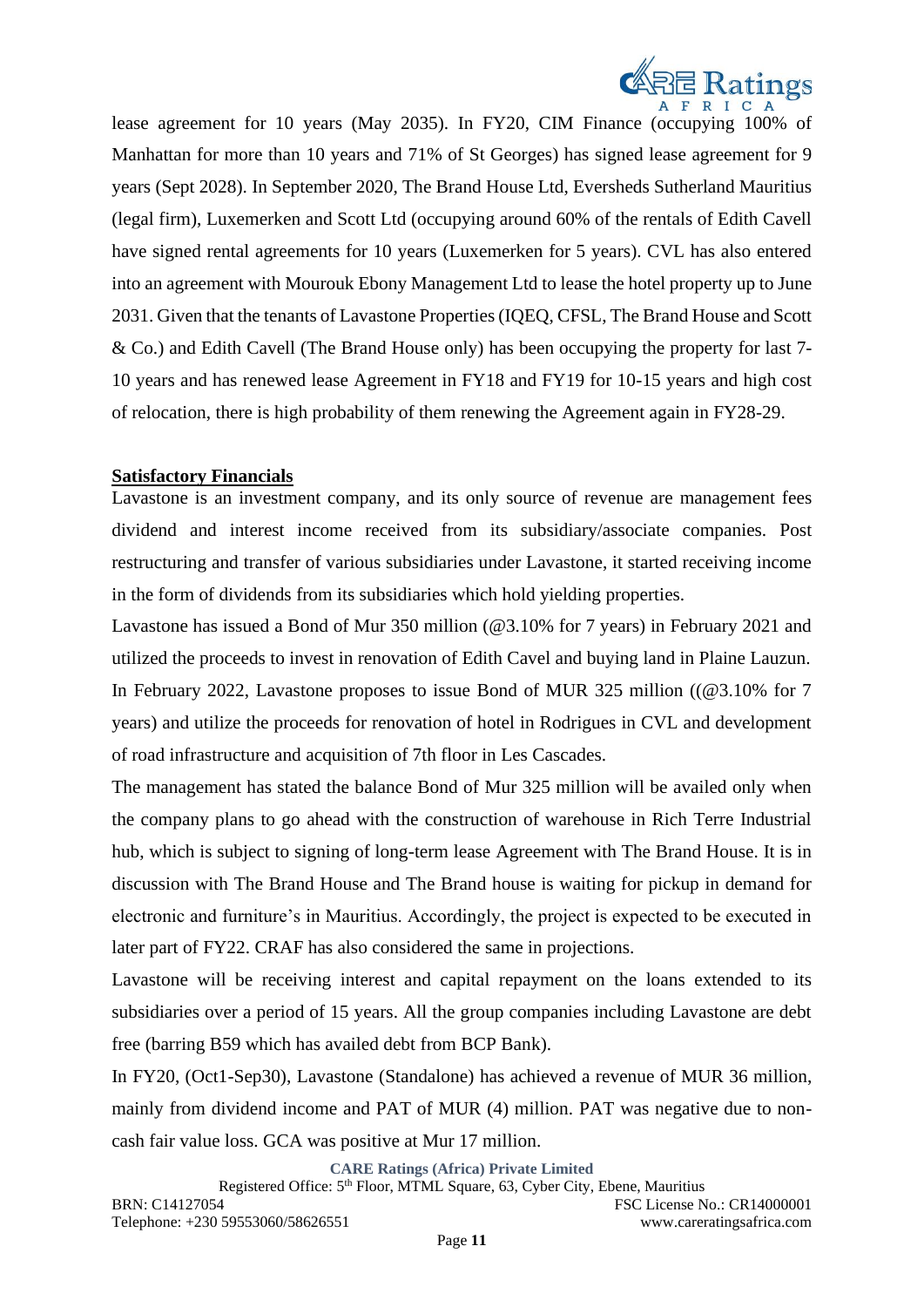

lease agreement for 10 years (May 2035). In FY20, CIM Finance (occupying 100% of Manhattan for more than 10 years and 71% of St Georges) has signed lease agreement for 9 years (Sept 2028). In September 2020, The Brand House Ltd, Eversheds Sutherland Mauritius (legal firm), Luxemerken and Scott Ltd (occupying around 60% of the rentals of Edith Cavell have signed rental agreements for 10 years (Luxemerken for 5 years). CVL has also entered into an agreement with Mourouk Ebony Management Ltd to lease the hotel property up to June 2031. Given that the tenants of Lavastone Properties (IQEQ, CFSL, The Brand House and Scott & Co.) and Edith Cavell (The Brand House only) has been occupying the property for last 7- 10 years and has renewed lease Agreement in FY18 and FY19 for 10-15 years and high cost of relocation, there is high probability of them renewing the Agreement again in FY28-29.

#### **Satisfactory Financials**

Lavastone is an investment company, and its only source of revenue are management fees dividend and interest income received from its subsidiary/associate companies. Post restructuring and transfer of various subsidiaries under Lavastone, it started receiving income in the form of dividends from its subsidiaries which hold yielding properties.

Lavastone has issued a Bond of Mur 350 million (@3.10% for 7 years) in February 2021 and utilized the proceeds to invest in renovation of Edith Cavel and buying land in Plaine Lauzun. In February 2022, Lavastone proposes to issue Bond of MUR 325 million ((@3.10% for 7 years) and utilize the proceeds for renovation of hotel in Rodrigues in CVL and development of road infrastructure and acquisition of 7th floor in Les Cascades.

The management has stated the balance Bond of Mur 325 million will be availed only when the company plans to go ahead with the construction of warehouse in Rich Terre Industrial hub, which is subject to signing of long-term lease Agreement with The Brand House. It is in discussion with The Brand House and The Brand house is waiting for pickup in demand for electronic and furniture's in Mauritius. Accordingly, the project is expected to be executed in later part of FY22. CRAF has also considered the same in projections.

Lavastone will be receiving interest and capital repayment on the loans extended to its subsidiaries over a period of 15 years. All the group companies including Lavastone are debt free (barring B59 which has availed debt from BCP Bank).

In FY20, (Oct1-Sep30), Lavastone (Standalone) has achieved a revenue of MUR 36 million, mainly from dividend income and PAT of MUR (4) million. PAT was negative due to noncash fair value loss. GCA was positive at Mur 17 million.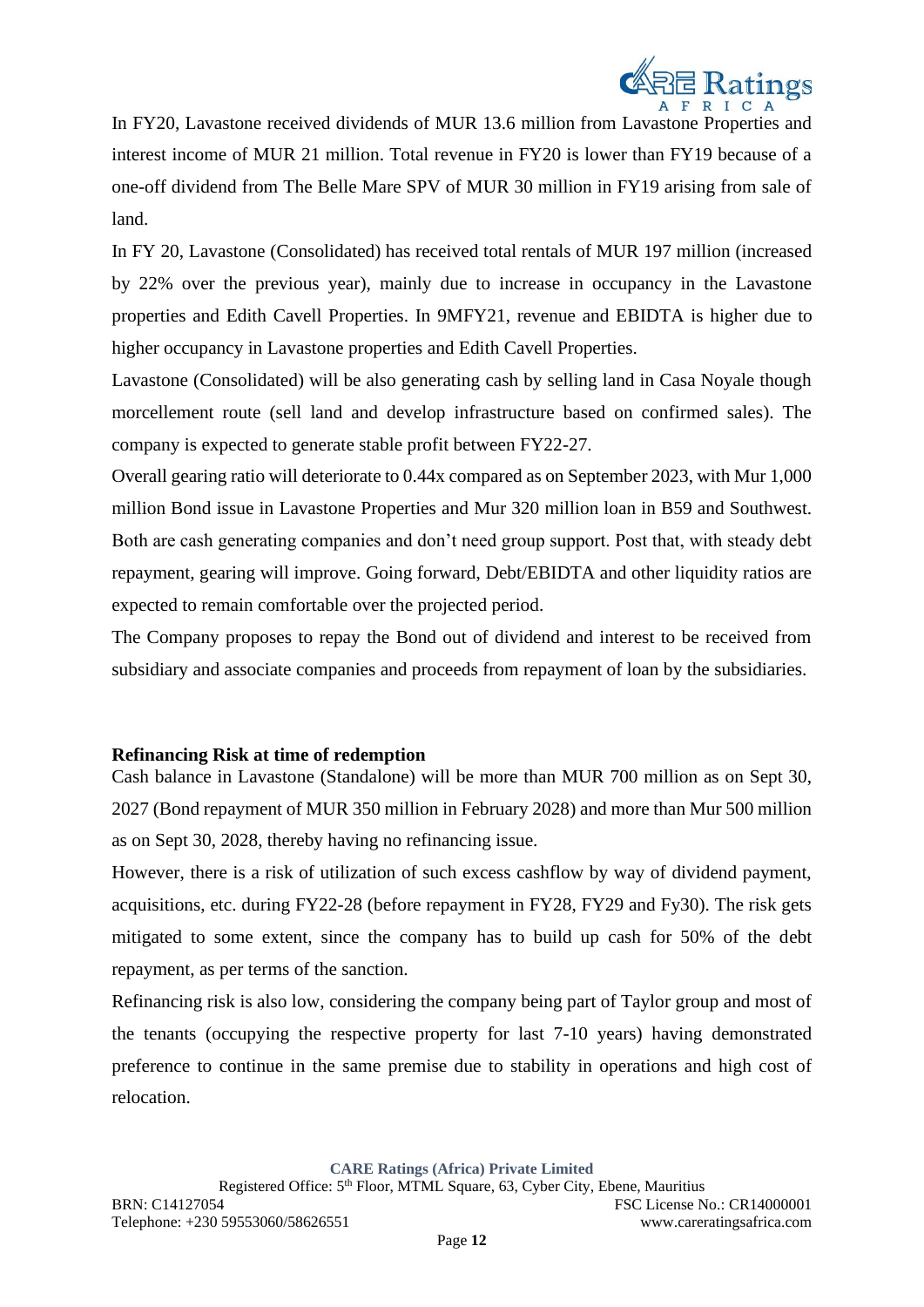

In FY20, Lavastone received dividends of MUR 13.6 million from Lavastone Properties and interest income of MUR 21 million. Total revenue in FY20 is lower than FY19 because of a one-off dividend from The Belle Mare SPV of MUR 30 million in FY19 arising from sale of land.

In FY 20, Lavastone (Consolidated) has received total rentals of MUR 197 million (increased by 22% over the previous year), mainly due to increase in occupancy in the Lavastone properties and Edith Cavell Properties. In 9MFY21, revenue and EBIDTA is higher due to higher occupancy in Lavastone properties and Edith Cavell Properties.

Lavastone (Consolidated) will be also generating cash by selling land in Casa Noyale though morcellement route (sell land and develop infrastructure based on confirmed sales). The company is expected to generate stable profit between FY22-27.

Overall gearing ratio will deteriorate to 0.44x compared as on September 2023, with Mur 1,000 million Bond issue in Lavastone Properties and Mur 320 million loan in B59 and Southwest. Both are cash generating companies and don't need group support. Post that, with steady debt repayment, gearing will improve. Going forward, Debt/EBIDTA and other liquidity ratios are expected to remain comfortable over the projected period.

The Company proposes to repay the Bond out of dividend and interest to be received from subsidiary and associate companies and proceeds from repayment of loan by the subsidiaries.

#### **Refinancing Risk at time of redemption**

Cash balance in Lavastone (Standalone) will be more than MUR 700 million as on Sept 30, 2027 (Bond repayment of MUR 350 million in February 2028) and more than Mur 500 million as on Sept 30, 2028, thereby having no refinancing issue.

However, there is a risk of utilization of such excess cashflow by way of dividend payment, acquisitions, etc. during FY22-28 (before repayment in FY28, FY29 and Fy30). The risk gets mitigated to some extent, since the company has to build up cash for 50% of the debt repayment, as per terms of the sanction.

Refinancing risk is also low, considering the company being part of Taylor group and most of the tenants (occupying the respective property for last 7-10 years) having demonstrated preference to continue in the same premise due to stability in operations and high cost of relocation.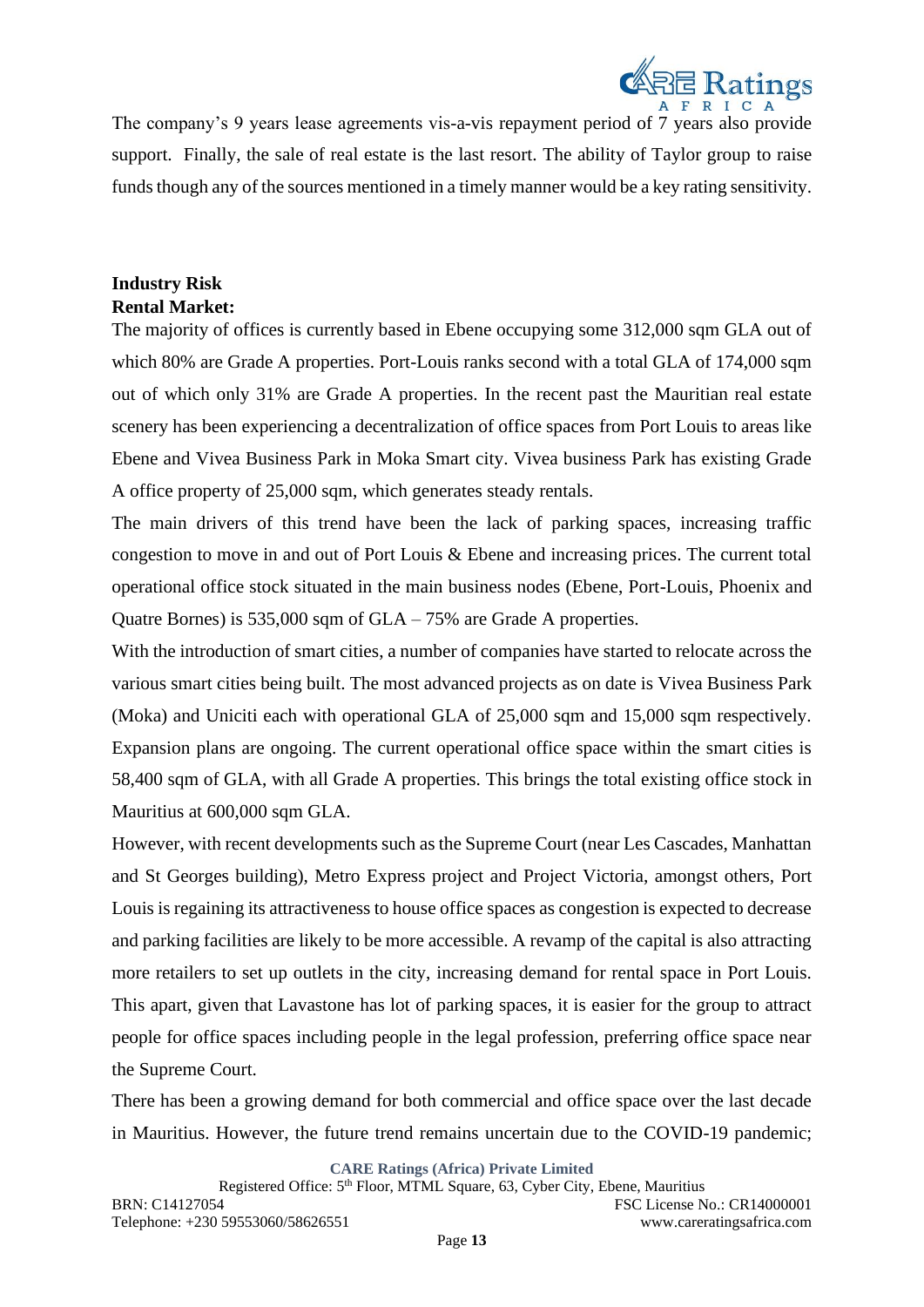

The company's 9 years lease agreements vis-a-vis repayment period of 7 years also provide support. Finally, the sale of real estate is the last resort. The ability of Taylor group to raise funds though any of the sources mentioned in a timely manner would be a key rating sensitivity.

# **Industry Risk Rental Market:**

The majority of offices is currently based in Ebene occupying some 312,000 sqm GLA out of which 80% are Grade A properties. Port-Louis ranks second with a total GLA of 174,000 sqm out of which only 31% are Grade A properties. In the recent past the Mauritian real estate scenery has been experiencing a decentralization of office spaces from Port Louis to areas like Ebene and Vivea Business Park in Moka Smart city. Vivea business Park has existing Grade A office property of 25,000 sqm, which generates steady rentals.

The main drivers of this trend have been the lack of parking spaces, increasing traffic congestion to move in and out of Port Louis & Ebene and increasing prices. The current total operational office stock situated in the main business nodes (Ebene, Port-Louis, Phoenix and Quatre Bornes) is 535,000 sqm of GLA – 75% are Grade A properties.

With the introduction of smart cities, a number of companies have started to relocate across the various smart cities being built. The most advanced projects as on date is Vivea Business Park (Moka) and Uniciti each with operational GLA of 25,000 sqm and 15,000 sqm respectively. Expansion plans are ongoing. The current operational office space within the smart cities is 58,400 sqm of GLA, with all Grade A properties. This brings the total existing office stock in Mauritius at 600,000 sqm GLA.

However, with recent developments such as the Supreme Court (near Les Cascades, Manhattan and St Georges building), Metro Express project and Project Victoria, amongst others, Port Louis is regaining its attractiveness to house office spaces as congestion is expected to decrease and parking facilities are likely to be more accessible. A revamp of the capital is also attracting more retailers to set up outlets in the city, increasing demand for rental space in Port Louis. This apart, given that Lavastone has lot of parking spaces, it is easier for the group to attract people for office spaces including people in the legal profession, preferring office space near the Supreme Court.

There has been a growing demand for both commercial and office space over the last decade in Mauritius. However, the future trend remains uncertain due to the COVID-19 pandemic;

**CARE Ratings (Africa) Private Limited**

Page **13**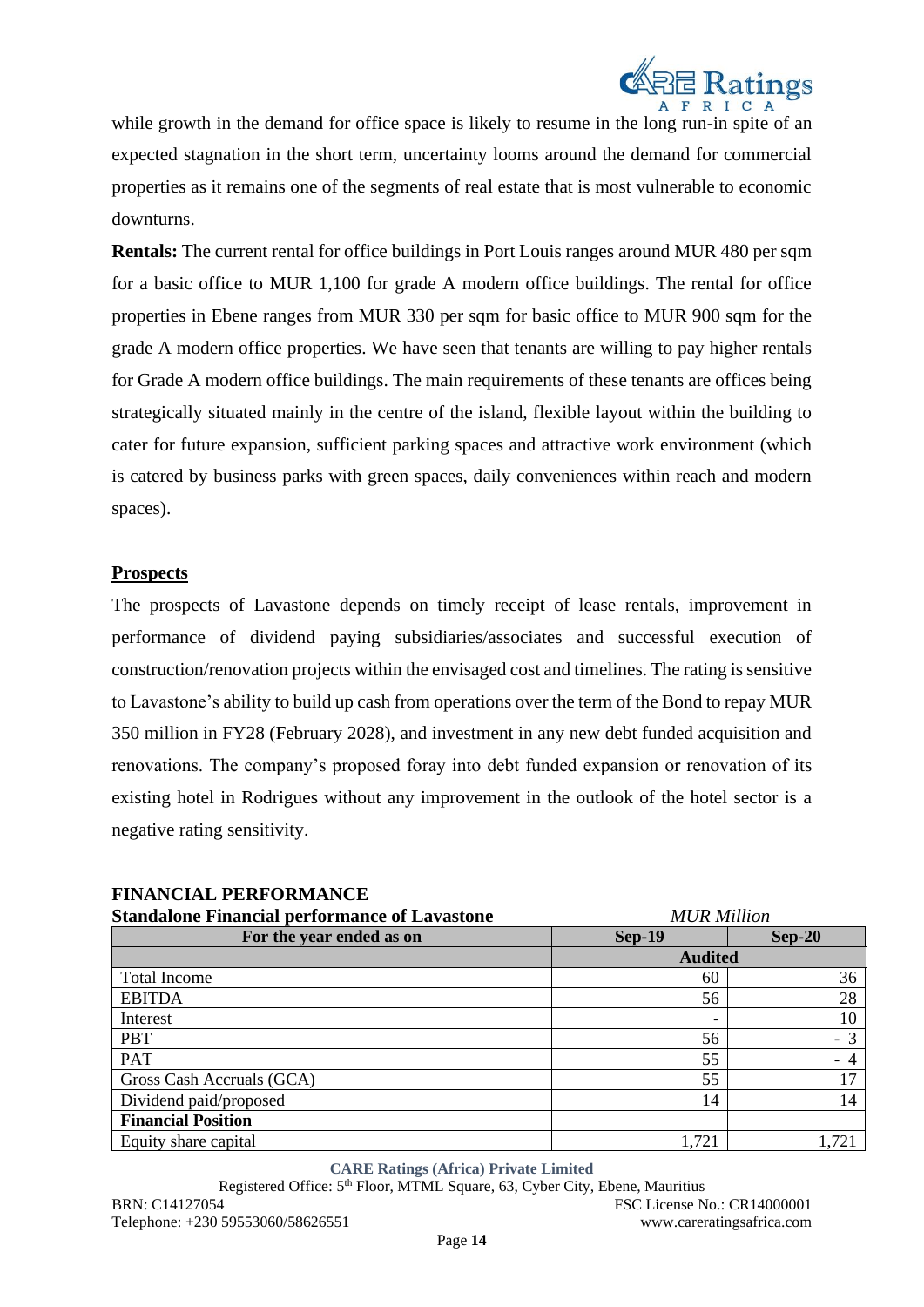

while growth in the demand for office space is likely to resume in the long run-in spite of an expected stagnation in the short term, uncertainty looms around the demand for commercial properties as it remains one of the segments of real estate that is most vulnerable to economic downturns.

**Rentals:** The current rental for office buildings in Port Louis ranges around MUR 480 per sqm for a basic office to MUR 1,100 for grade A modern office buildings. The rental for office properties in Ebene ranges from MUR 330 per sqm for basic office to MUR 900 sqm for the grade A modern office properties. We have seen that tenants are willing to pay higher rentals for Grade A modern office buildings. The main requirements of these tenants are offices being strategically situated mainly in the centre of the island, flexible layout within the building to cater for future expansion, sufficient parking spaces and attractive work environment (which is catered by business parks with green spaces, daily conveniences within reach and modern spaces).

#### **Prospects**

The prospects of Lavastone depends on timely receipt of lease rentals, improvement in performance of dividend paying subsidiaries/associates and successful execution of construction/renovation projects within the envisaged cost and timelines. The rating is sensitive to Lavastone's ability to build up cash from operations over the term of the Bond to repay MUR 350 million in FY28 (February 2028), and investment in any new debt funded acquisition and renovations. The company's proposed foray into debt funded expansion or renovation of its existing hotel in Rodrigues without any improvement in the outlook of the hotel sector is a negative rating sensitivity.

| <b>Standalone Financial performance of Lavastone</b> | <b>MUR Million</b>       |          |
|------------------------------------------------------|--------------------------|----------|
| For the year ended as on                             | <b>Sep-19</b>            | $Sep-20$ |
|                                                      | <b>Audited</b>           |          |
| <b>Total Income</b>                                  | 60                       | 36       |
| <b>EBITDA</b>                                        | 56                       | 28       |
| Interest                                             | $\overline{\phantom{a}}$ | 10       |
| <b>PBT</b>                                           | 56                       | $-3$     |
| PAT                                                  | 55                       | $-4$     |
| Gross Cash Accruals (GCA)                            | 55                       | 17       |
| Dividend paid/proposed                               | 14                       | 14       |
| <b>Financial Position</b>                            |                          |          |
| Equity share capital                                 | 1,721                    | 1,721    |

**FINANCIAL PERFORMANCE**

**CARE Ratings (Africa) Private Limited**

Registered Office: 5<sup>th</sup> Floor, MTML Square, 63, Cyber City, Ebene, Mauritius BRN: C14127054 FSC License No.: CR14000001 Telephone: +230 59553060/58626551 www.careratingsafrica.com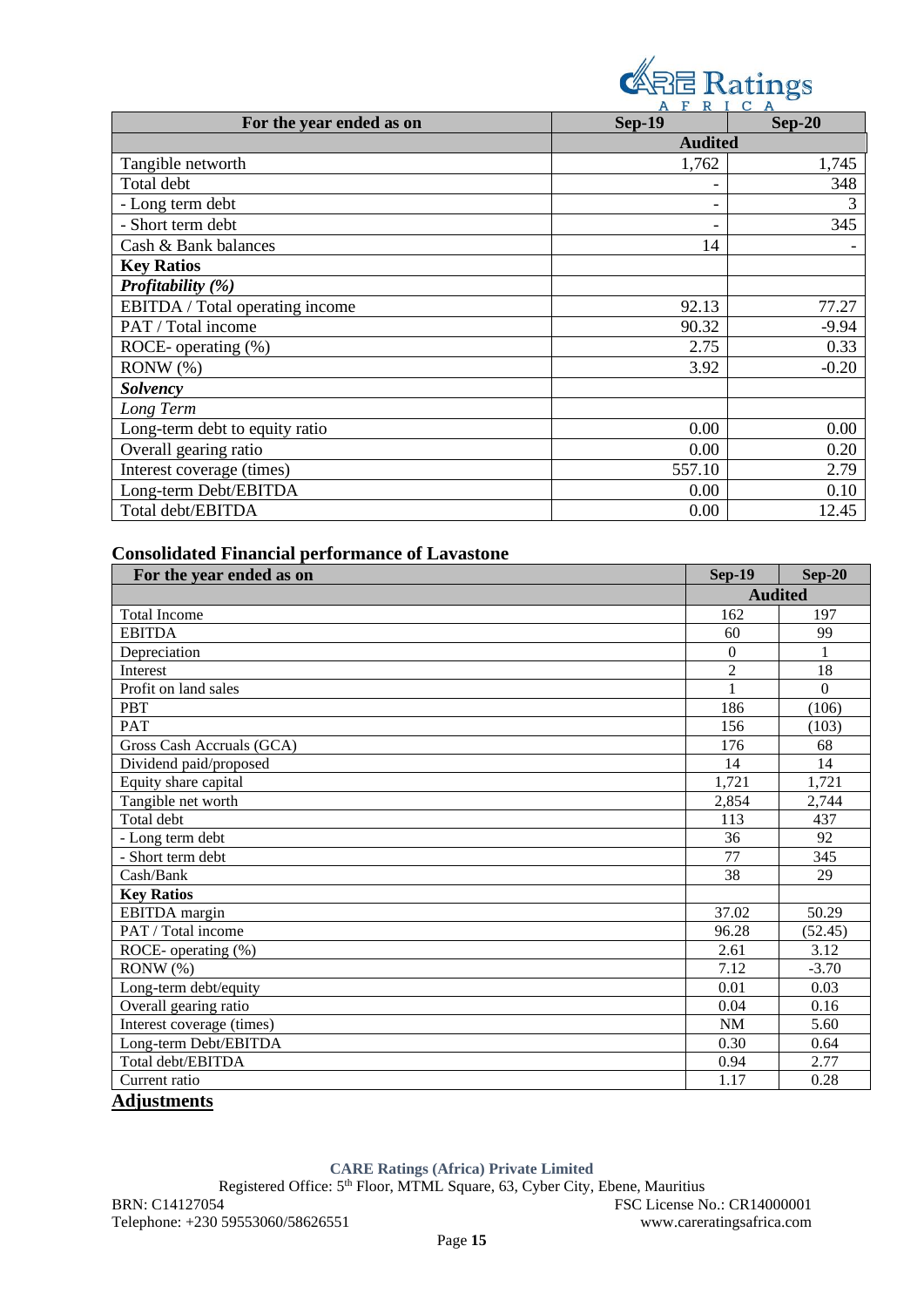

|                                 | ALAICA         |          |
|---------------------------------|----------------|----------|
| For the year ended as on        | <b>Sep-19</b>  | $Sep-20$ |
|                                 | <b>Audited</b> |          |
| Tangible networth               | 1,762          | 1,745    |
| Total debt                      |                | 348      |
| - Long term debt                |                | 3        |
| - Short term debt               |                | 345      |
| Cash & Bank balances            | 14             |          |
| <b>Key Ratios</b>               |                |          |
| Profitability (%)               |                |          |
| EBITDA / Total operating income | 92.13          | 77.27    |
| PAT / Total income              | 90.32          | $-9.94$  |
| ROCE- operating (%)             | 2.75           | 0.33     |
| $RONW(\%)$                      | 3.92           | $-0.20$  |
| <b>Solvency</b>                 |                |          |
| Long Term                       |                |          |
| Long-term debt to equity ratio  | 0.00           | 0.00     |
| Overall gearing ratio           | 0.00           | 0.20     |
| Interest coverage (times)       | 557.10         | 2.79     |
| Long-term Debt/EBITDA           | 0.00           | 0.10     |
| Total debt/EBITDA               | 0.00           | 12.45    |

# **Consolidated Financial performance of Lavastone**

| For the year ended as on  | <b>Sep-19</b>   | <b>Sep-20</b>    |  |
|---------------------------|-----------------|------------------|--|
|                           |                 | <b>Audited</b>   |  |
| <b>Total Income</b>       | 162             | 197              |  |
| <b>EBITDA</b>             | 60              | 99               |  |
| Depreciation              | $\Omega$        | $\mathbf{1}$     |  |
| Interest                  | $\overline{c}$  | 18               |  |
| Profit on land sales      | $\mathbf{1}$    | $\theta$         |  |
| <b>PBT</b>                | 186             | (106)            |  |
| <b>PAT</b>                | 156             | (103)            |  |
| Gross Cash Accruals (GCA) | 176             | 68               |  |
| Dividend paid/proposed    | 14              | 14               |  |
| Equity share capital      | 1,721           | 1,721            |  |
| Tangible net worth        | 2,854           | 2,744            |  |
| Total debt                | 113             | 437              |  |
| - Long term debt          | 36              | 92               |  |
| - Short term debt         | $\overline{77}$ | $\overline{345}$ |  |
| Cash/Bank                 | 38              | 29               |  |
| <b>Key Ratios</b>         |                 |                  |  |
| EBITDA margin             | 37.02           | 50.29            |  |
| PAT / Total income        | 96.28           | (52.45)          |  |
| ROCE- operating (%)       | 2.61            | 3.12             |  |
| RONW(%)                   | 7.12            | $-3.70$          |  |
| Long-term debt/equity     | 0.01            | 0.03             |  |
| Overall gearing ratio     | 0.04            | 0.16             |  |
| Interest coverage (times) | NM              | 5.60             |  |
| Long-term Debt/EBITDA     | 0.30            | 0.64             |  |
| Total debt/EBITDA         | 0.94            | 2.77             |  |
| Current ratio             | 1.17            | 0.28             |  |
| <b>Adjustments</b>        |                 |                  |  |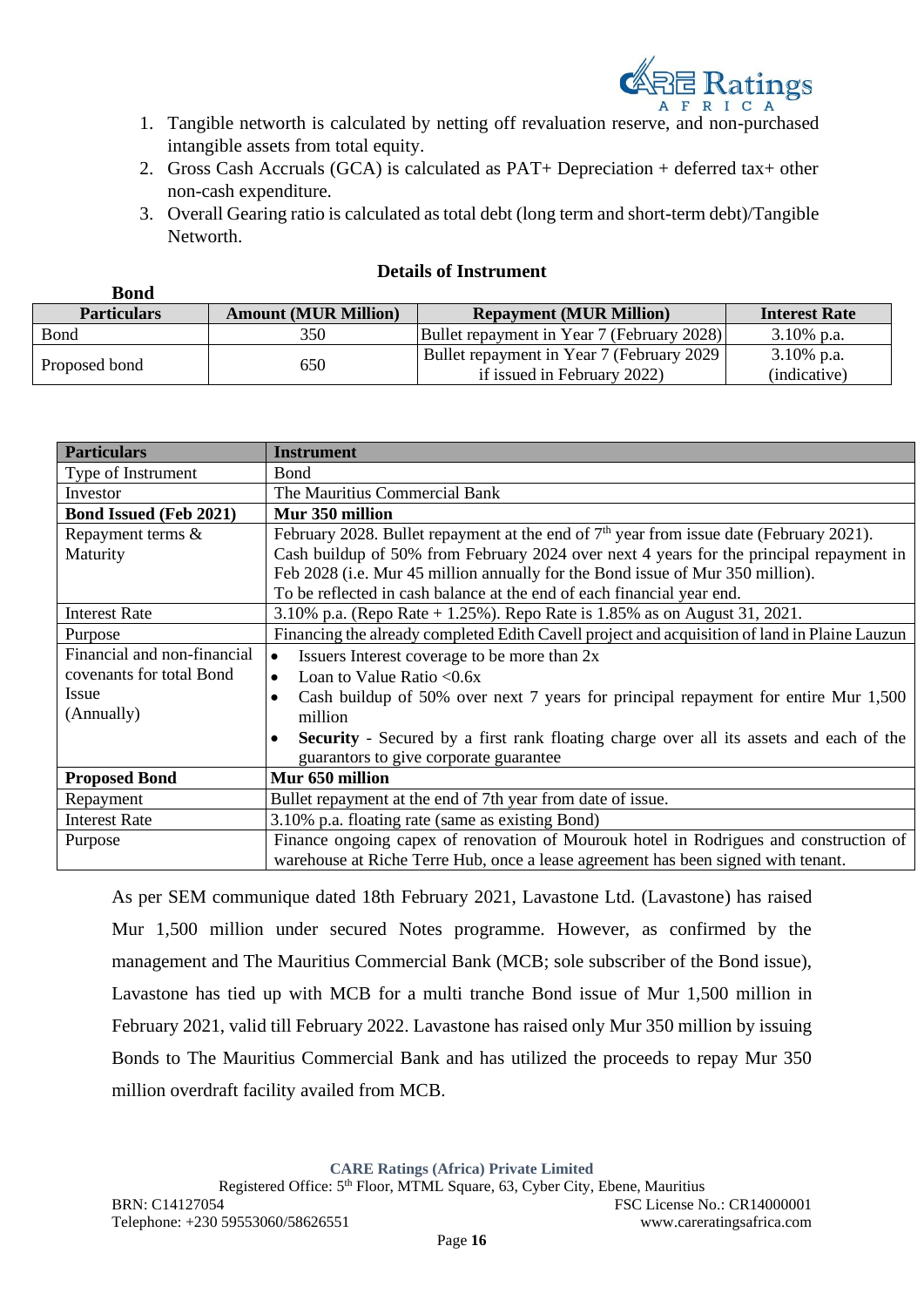

- 1. Tangible networth is calculated by netting off revaluation reserve, and non-purchased intangible assets from total equity.
- 2. Gross Cash Accruals (GCA) is calculated as PAT+ Depreciation + deferred tax+ other non-cash expenditure.
- 3. Overall Gearing ratio is calculated as total debt (long term and short-term debt)/Tangible **Networth**

#### **Details of Instrument**

| www                |                             |                                                                           |                               |
|--------------------|-----------------------------|---------------------------------------------------------------------------|-------------------------------|
| <b>Particulars</b> | <b>Amount (MUR Million)</b> | <b>Repayment (MUR Million)</b>                                            | <b>Interest Rate</b>          |
| Bond               | 350                         | Bullet repayment in Year 7 (February 2028)                                | $3.10\%$ p.a.                 |
| Proposed bond      | 650                         | Bullet repayment in Year 7 (February 2029)<br>if issued in February 2022) | $3.10\%$ p.a.<br>(indicative) |

| <b>Particulars</b>            | <b>Instrument</b>                                                                                          |  |  |
|-------------------------------|------------------------------------------------------------------------------------------------------------|--|--|
| Type of Instrument            | <b>B</b> ond                                                                                               |  |  |
| Investor                      | The Mauritius Commercial Bank                                                                              |  |  |
| <b>Bond Issued (Feb 2021)</b> | Mur 350 million                                                                                            |  |  |
| Repayment terms &             | February 2028. Bullet repayment at the end of $7th$ year from issue date (February 2021).                  |  |  |
| Maturity                      | Cash buildup of 50% from February 2024 over next 4 years for the principal repayment in                    |  |  |
|                               | Feb 2028 (i.e. Mur 45 million annually for the Bond issue of Mur 350 million).                             |  |  |
|                               | To be reflected in cash balance at the end of each financial year end.                                     |  |  |
| <b>Interest Rate</b>          | 3.10% p.a. (Repo Rate + 1.25%). Repo Rate is 1.85% as on August 31, 2021.                                  |  |  |
| Purpose                       | Financing the already completed Edith Cavell project and acquisition of land in Plaine Lauzun              |  |  |
| Financial and non-financial   | Issuers Interest coverage to be more than 2x<br>$\bullet$                                                  |  |  |
| covenants for total Bond      | Loan to Value Ratio < $0.6x$<br>$\bullet$                                                                  |  |  |
| Issue                         | Cash buildup of 50% over next 7 years for principal repayment for entire Mur 1,500<br>$\bullet$            |  |  |
| (Annually)                    | million                                                                                                    |  |  |
|                               | <b>Security</b> - Secured by a first rank floating charge over all its assets and each of the<br>$\bullet$ |  |  |
|                               | guarantors to give corporate guarantee                                                                     |  |  |
| <b>Proposed Bond</b>          | Mur 650 million                                                                                            |  |  |
| Repayment                     | Bullet repayment at the end of 7th year from date of issue.                                                |  |  |
| <b>Interest Rate</b>          | 3.10% p.a. floating rate (same as existing Bond)                                                           |  |  |
| Purpose                       | Finance ongoing capex of renovation of Mourouk hotel in Rodrigues and construction of                      |  |  |
|                               | warehouse at Riche Terre Hub, once a lease agreement has been signed with tenant.                          |  |  |

As per SEM communique dated 18th February 2021, Lavastone Ltd. (Lavastone) has raised Mur 1,500 million under secured Notes programme. However, as confirmed by the management and The Mauritius Commercial Bank (MCB; sole subscriber of the Bond issue), Lavastone has tied up with MCB for a multi tranche Bond issue of Mur 1,500 million in February 2021, valid till February 2022. Lavastone has raised only Mur 350 million by issuing Bonds to The Mauritius Commercial Bank and has utilized the proceeds to repay Mur 350 million overdraft facility availed from MCB.

**CARE Ratings (Africa) Private Limited**

Registered Office: 5<sup>th</sup> Floor, MTML Square, 63, Cyber City, Ebene, Mauritius

**Bond**